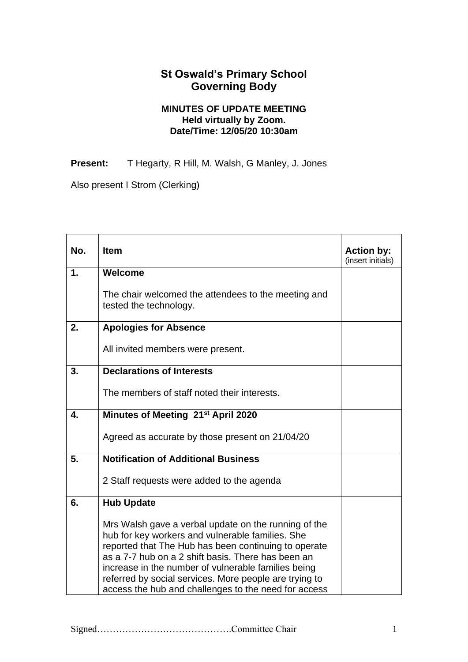## **St Oswald's Primary School Governing Body**

## **MINUTES OF UPDATE MEETING Held virtually by Zoom. Date/Time: 12/05/20 10:30am**

Present: T Hegarty, R Hill, M. Walsh, G Manley, J. Jones

Also present I Strom (Clerking)

| No.           | <b>Item</b>                                                                                                                                                                                                                                                                                                                                                                                     | <b>Action by:</b><br>(insert initials) |
|---------------|-------------------------------------------------------------------------------------------------------------------------------------------------------------------------------------------------------------------------------------------------------------------------------------------------------------------------------------------------------------------------------------------------|----------------------------------------|
| $\mathbf 1$ . | Welcome                                                                                                                                                                                                                                                                                                                                                                                         |                                        |
|               | The chair welcomed the attendees to the meeting and<br>tested the technology.                                                                                                                                                                                                                                                                                                                   |                                        |
| 2.            | <b>Apologies for Absence</b>                                                                                                                                                                                                                                                                                                                                                                    |                                        |
|               | All invited members were present.                                                                                                                                                                                                                                                                                                                                                               |                                        |
| 3.            | <b>Declarations of Interests</b>                                                                                                                                                                                                                                                                                                                                                                |                                        |
|               | The members of staff noted their interests.                                                                                                                                                                                                                                                                                                                                                     |                                        |
| 4.            | Minutes of Meeting 21 <sup>st</sup> April 2020                                                                                                                                                                                                                                                                                                                                                  |                                        |
|               | Agreed as accurate by those present on 21/04/20                                                                                                                                                                                                                                                                                                                                                 |                                        |
| 5.            | <b>Notification of Additional Business</b>                                                                                                                                                                                                                                                                                                                                                      |                                        |
|               | 2 Staff requests were added to the agenda                                                                                                                                                                                                                                                                                                                                                       |                                        |
| 6.            | <b>Hub Update</b>                                                                                                                                                                                                                                                                                                                                                                               |                                        |
|               | Mrs Walsh gave a verbal update on the running of the<br>hub for key workers and vulnerable families. She<br>reported that The Hub has been continuing to operate<br>as a 7-7 hub on a 2 shift basis. There has been an<br>increase in the number of vulnerable families being<br>referred by social services. More people are trying to<br>access the hub and challenges to the need for access |                                        |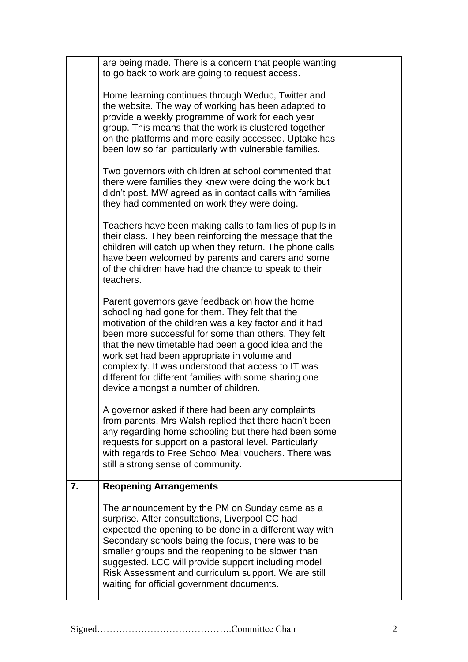|    | are being made. There is a concern that people wanting<br>to go back to work are going to request access.                                                                                                                                                                                                                                                                                                                                                                          |  |
|----|------------------------------------------------------------------------------------------------------------------------------------------------------------------------------------------------------------------------------------------------------------------------------------------------------------------------------------------------------------------------------------------------------------------------------------------------------------------------------------|--|
|    | Home learning continues through Weduc, Twitter and<br>the website. The way of working has been adapted to<br>provide a weekly programme of work for each year<br>group. This means that the work is clustered together<br>on the platforms and more easily accessed. Uptake has<br>been low so far, particularly with vulnerable families.                                                                                                                                         |  |
|    | Two governors with children at school commented that<br>there were families they knew were doing the work but<br>didn't post. MW agreed as in contact calls with families<br>they had commented on work they were doing.                                                                                                                                                                                                                                                           |  |
|    | Teachers have been making calls to families of pupils in<br>their class. They been reinforcing the message that the<br>children will catch up when they return. The phone calls<br>have been welcomed by parents and carers and some<br>of the children have had the chance to speak to their<br>teachers.                                                                                                                                                                         |  |
|    | Parent governors gave feedback on how the home<br>schooling had gone for them. They felt that the<br>motivation of the children was a key factor and it had<br>been more successful for some than others. They felt<br>that the new timetable had been a good idea and the<br>work set had been appropriate in volume and<br>complexity. It was understood that access to IT was<br>different for different families with some sharing one<br>device amongst a number of children. |  |
|    | A governor asked if there had been any complaints<br>from parents. Mrs Walsh replied that there hadn't been<br>any regarding home schooling but there had been some<br>requests for support on a pastoral level. Particularly<br>with regards to Free School Meal vouchers. There was<br>still a strong sense of community.                                                                                                                                                        |  |
| 7. | <b>Reopening Arrangements</b>                                                                                                                                                                                                                                                                                                                                                                                                                                                      |  |
|    | The announcement by the PM on Sunday came as a<br>surprise. After consultations, Liverpool CC had<br>expected the opening to be done in a different way with<br>Secondary schools being the focus, there was to be<br>smaller groups and the reopening to be slower than<br>suggested. LCC will provide support including model<br>Risk Assessment and curriculum support. We are still<br>waiting for official government documents.                                              |  |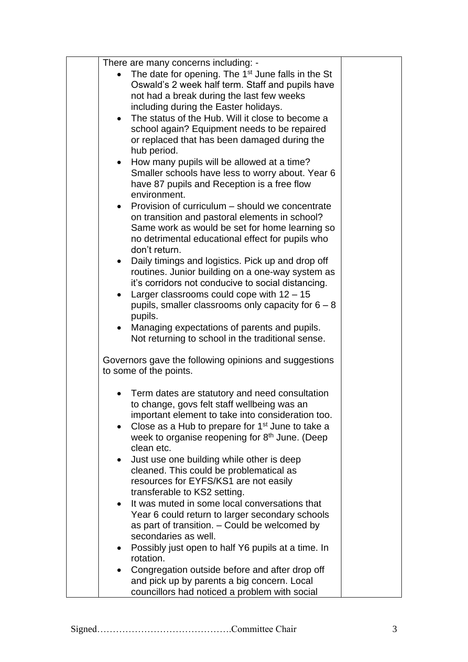| There are many concerns including: -                                                             |  |
|--------------------------------------------------------------------------------------------------|--|
| The date for opening. The 1 <sup>st</sup> June falls in the St                                   |  |
| Oswald's 2 week half term. Staff and pupils have                                                 |  |
| not had a break during the last few weeks                                                        |  |
| including during the Easter holidays.                                                            |  |
| The status of the Hub. Will it close to become a<br>$\bullet$                                    |  |
| school again? Equipment needs to be repaired                                                     |  |
| or replaced that has been damaged during the                                                     |  |
| hub period.                                                                                      |  |
| How many pupils will be allowed at a time?<br>$\bullet$                                          |  |
| Smaller schools have less to worry about. Year 6                                                 |  |
| have 87 pupils and Reception is a free flow                                                      |  |
| environment.                                                                                     |  |
| Provision of curriculum – should we concentrate<br>$\bullet$                                     |  |
| on transition and pastoral elements in school?<br>Same work as would be set for home learning so |  |
| no detrimental educational effect for pupils who                                                 |  |
| don't return.                                                                                    |  |
| Daily timings and logistics. Pick up and drop off<br>$\bullet$                                   |  |
| routines. Junior building on a one-way system as                                                 |  |
| it's corridors not conducive to social distancing.                                               |  |
| Larger classrooms could cope with $12 - 15$<br>$\bullet$                                         |  |
| pupils, smaller classrooms only capacity for $6 - 8$                                             |  |
| pupils.                                                                                          |  |
| Managing expectations of parents and pupils.<br>$\bullet$                                        |  |
| Not returning to school in the traditional sense.                                                |  |
| Governors gave the following opinions and suggestions                                            |  |
| to some of the points.                                                                           |  |
|                                                                                                  |  |
| Term dates are statutory and need consultation                                                   |  |
| to change, govs felt staff wellbeing was an                                                      |  |
| important element to take into consideration too.                                                |  |
| Close as a Hub to prepare for 1 <sup>st</sup> June to take a<br>$\bullet$                        |  |
| week to organise reopening for 8 <sup>th</sup> June. (Deep<br>clean etc.                         |  |
| Just use one building while other is deep                                                        |  |
| cleaned. This could be problematical as                                                          |  |
| resources for EYFS/KS1 are not easily                                                            |  |
| transferable to KS2 setting.                                                                     |  |
| It was muted in some local conversations that                                                    |  |
| Year 6 could return to larger secondary schools                                                  |  |
| as part of transition. - Could be welcomed by                                                    |  |
| secondaries as well.                                                                             |  |
| Possibly just open to half Y6 pupils at a time. In                                               |  |
| rotation.                                                                                        |  |
| Congregation outside before and after drop off                                                   |  |
| and pick up by parents a big concern. Local                                                      |  |
| councillors had noticed a problem with social                                                    |  |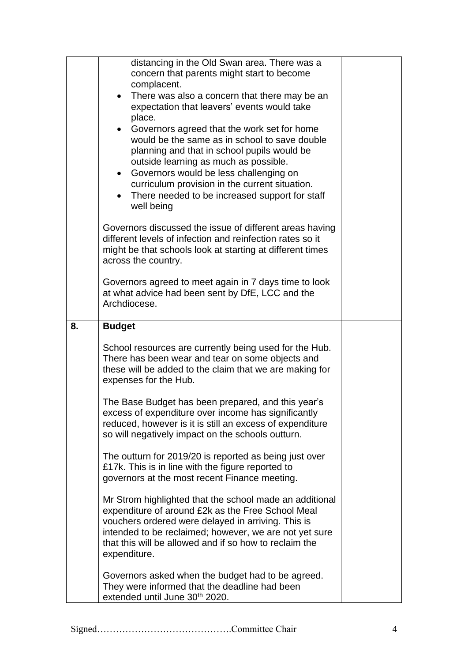|    | distancing in the Old Swan area. There was a               |  |
|----|------------------------------------------------------------|--|
|    | concern that parents might start to become                 |  |
|    | complacent.                                                |  |
|    | There was also a concern that there may be an<br>$\bullet$ |  |
|    | expectation that leavers' events would take                |  |
|    | place.                                                     |  |
|    | Governors agreed that the work set for home<br>$\bullet$   |  |
|    | would be the same as in school to save double              |  |
|    | planning and that in school pupils would be                |  |
|    | outside learning as much as possible.                      |  |
|    | Governors would be less challenging on<br>$\bullet$        |  |
|    | curriculum provision in the current situation.             |  |
|    | There needed to be increased support for staff             |  |
|    | well being                                                 |  |
|    | Governors discussed the issue of different areas having    |  |
|    | different levels of infection and reinfection rates so it  |  |
|    | might be that schools look at starting at different times  |  |
|    | across the country.                                        |  |
|    | Governors agreed to meet again in 7 days time to look      |  |
|    | at what advice had been sent by DfE, LCC and the           |  |
|    | Archdiocese.                                               |  |
|    |                                                            |  |
| 8. | <b>Budget</b>                                              |  |
|    | School resources are currently being used for the Hub.     |  |
|    | There has been wear and tear on some objects and           |  |
|    | these will be added to the claim that we are making for    |  |
|    | expenses for the Hub.                                      |  |
|    | The Base Budget has been prepared, and this year's         |  |
|    | excess of expenditure over income has significantly        |  |
|    | reduced, however is it is still an excess of expenditure   |  |
|    | so will negatively impact on the schools outturn.          |  |
|    | The outturn for 2019/20 is reported as being just over     |  |
|    | £17k. This is in line with the figure reported to          |  |
|    | governors at the most recent Finance meeting.              |  |
|    | Mr Strom highlighted that the school made an additional    |  |
|    | expenditure of around £2k as the Free School Meal          |  |
|    | vouchers ordered were delayed in arriving. This is         |  |
|    | intended to be reclaimed; however, we are not yet sure     |  |
|    | that this will be allowed and if so how to reclaim the     |  |
|    | expenditure.                                               |  |
|    | Governors asked when the budget had to be agreed.          |  |
|    | They were informed that the deadline had been              |  |
|    | extended until June 30th 2020.                             |  |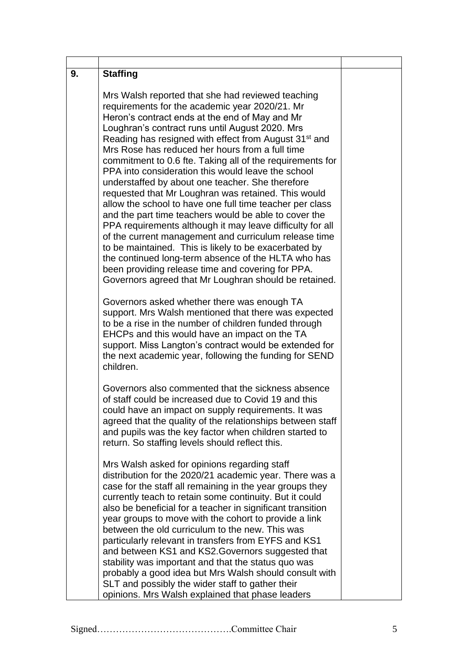| 9. | <b>Staffing</b>                                                                                                                                                                                                                                                                                                                                                                                                                                                                                                                                                                                                                                                                                                                                                                                                                                                                                                                                                                                                                                                                                                                                                                                         |  |
|----|---------------------------------------------------------------------------------------------------------------------------------------------------------------------------------------------------------------------------------------------------------------------------------------------------------------------------------------------------------------------------------------------------------------------------------------------------------------------------------------------------------------------------------------------------------------------------------------------------------------------------------------------------------------------------------------------------------------------------------------------------------------------------------------------------------------------------------------------------------------------------------------------------------------------------------------------------------------------------------------------------------------------------------------------------------------------------------------------------------------------------------------------------------------------------------------------------------|--|
|    | Mrs Walsh reported that she had reviewed teaching<br>requirements for the academic year 2020/21. Mr<br>Heron's contract ends at the end of May and Mr<br>Loughran's contract runs until August 2020. Mrs<br>Reading has resigned with effect from August 31 <sup>st</sup> and<br>Mrs Rose has reduced her hours from a full time<br>commitment to 0.6 fte. Taking all of the requirements for<br>PPA into consideration this would leave the school<br>understaffed by about one teacher. She therefore<br>requested that Mr Loughran was retained. This would<br>allow the school to have one full time teacher per class<br>and the part time teachers would be able to cover the<br>PPA requirements although it may leave difficulty for all<br>of the current management and curriculum release time<br>to be maintained. This is likely to be exacerbated by<br>the continued long-term absence of the HLTA who has<br>been providing release time and covering for PPA.<br>Governors agreed that Mr Loughran should be retained.<br>Governors asked whether there was enough TA<br>support. Mrs Walsh mentioned that there was expected<br>to be a rise in the number of children funded through |  |
|    | EHCPs and this would have an impact on the TA<br>support. Miss Langton's contract would be extended for<br>the next academic year, following the funding for SEND<br>children.                                                                                                                                                                                                                                                                                                                                                                                                                                                                                                                                                                                                                                                                                                                                                                                                                                                                                                                                                                                                                          |  |
|    | Governors also commented that the sickness absence<br>of staff could be increased due to Covid 19 and this<br>could have an impact on supply requirements. It was<br>agreed that the quality of the relationships between staff<br>and pupils was the key factor when children started to<br>return. So staffing levels should reflect this.                                                                                                                                                                                                                                                                                                                                                                                                                                                                                                                                                                                                                                                                                                                                                                                                                                                            |  |
|    | Mrs Walsh asked for opinions regarding staff<br>distribution for the 2020/21 academic year. There was a<br>case for the staff all remaining in the year groups they<br>currently teach to retain some continuity. But it could<br>also be beneficial for a teacher in significant transition<br>year groups to move with the cohort to provide a link<br>between the old curriculum to the new. This was<br>particularly relevant in transfers from EYFS and KS1<br>and between KS1 and KS2. Governors suggested that<br>stability was important and that the status quo was<br>probably a good idea but Mrs Walsh should consult with                                                                                                                                                                                                                                                                                                                                                                                                                                                                                                                                                                  |  |
|    | SLT and possibly the wider staff to gather their<br>opinions. Mrs Walsh explained that phase leaders                                                                                                                                                                                                                                                                                                                                                                                                                                                                                                                                                                                                                                                                                                                                                                                                                                                                                                                                                                                                                                                                                                    |  |